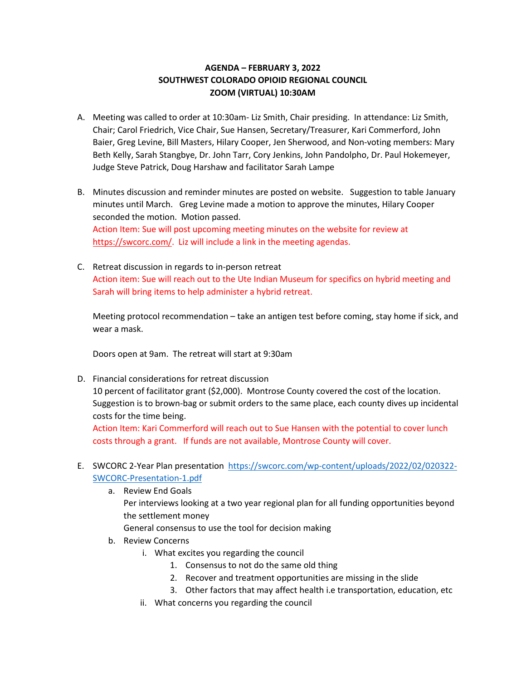## **AGENDA – FEBRUARY 3, 2022 SOUTHWEST COLORADO OPIOID REGIONAL COUNCIL ZOOM (VIRTUAL) 10:30AM**

- A. Meeting was called to order at 10:30am- Liz Smith, Chair presiding. In attendance: Liz Smith, Chair; Carol Friedrich, Vice Chair, Sue Hansen, Secretary/Treasurer, Kari Commerford, John Baier, Greg Levine, Bill Masters, Hilary Cooper, Jen Sherwood, and Non-voting members: Mary Beth Kelly, Sarah Stangbye, Dr. John Tarr, Cory Jenkins, John Pandolpho, Dr. Paul Hokemeyer, Judge Steve Patrick, Doug Harshaw and facilitator Sarah Lampe
- B. Minutes discussion and reminder minutes are posted on website. Suggestion to table January minutes until March. Greg Levine made a motion to approve the minutes, Hilary Cooper seconded the motion. Motion passed. Action Item: Sue will post upcoming meeting minutes on the website for review at [https://swcorc.com/.](https://swcorc.com/) Liz will include a link in the meeting agendas.
- C. Retreat discussion in regards to in-person retreat Action item: Sue will reach out to the Ute Indian Museum for specifics on hybrid meeting and Sarah will bring items to help administer a hybrid retreat.

Meeting protocol recommendation – take an antigen test before coming, stay home if sick, and wear a mask.

Doors open at 9am. The retreat will start at 9:30am

- D. Financial considerations for retreat discussion 10 percent of facilitator grant (\$2,000). Montrose County covered the cost of the location. Suggestion is to brown-bag or submit orders to the same place, each county dives up incidental costs for the time being. Action Item: Kari Commerford will reach out to Sue Hansen with the potential to cover lunch costs through a grant. If funds are not available, Montrose County will cover.
- E. SWCORC 2-Year Plan presentation [https://swcorc.com/wp-content/uploads/2022/02/020322-](https://swcorc.com/wp-content/uploads/2022/02/020322-SWCORC-Presentation-1.pdf) [SWCORC-Presentation-1.pdf](https://swcorc.com/wp-content/uploads/2022/02/020322-SWCORC-Presentation-1.pdf)
	- a. Review End Goals

Per interviews looking at a two year regional plan for all funding opportunities beyond the settlement money

General consensus to use the tool for decision making

- b. Review Concerns
	- i. What excites you regarding the council
		- 1. Consensus to not do the same old thing
		- 2. Recover and treatment opportunities are missing in the slide
		- 3. Other factors that may affect health i.e transportation, education, etc
	- ii. What concerns you regarding the council